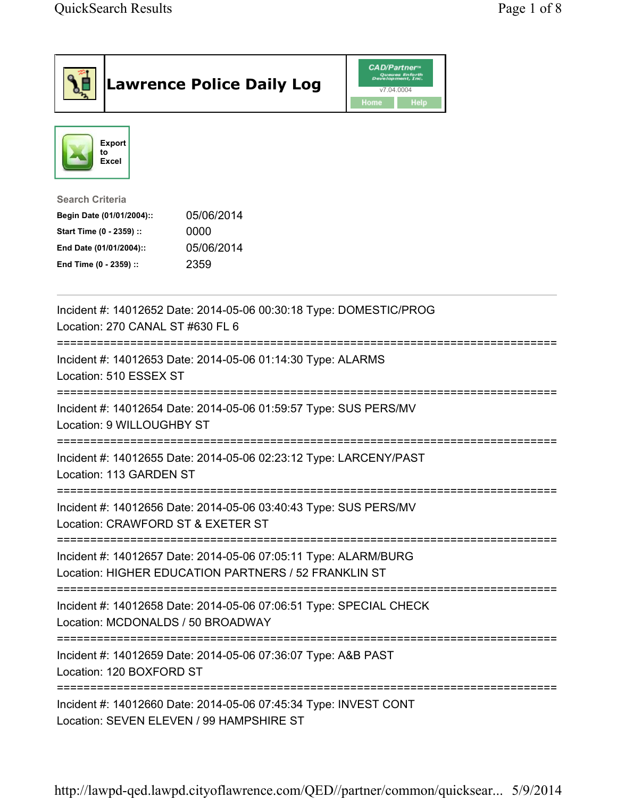|                                                                                                                                                      | <b>Lawrence Police Daily Log</b> | <b>CAD/Partner</b> ®<br>Queues Enforth<br>Development, Inc.<br>v7.04.0004<br>Home<br>Help |  |
|------------------------------------------------------------------------------------------------------------------------------------------------------|----------------------------------|-------------------------------------------------------------------------------------------|--|
| <b>Export</b><br>to<br><b>Excel</b>                                                                                                                  |                                  |                                                                                           |  |
| <b>Search Criteria</b><br>Begin Date (01/01/2004)::<br>Start Time (0 - 2359) ::<br>0000<br>End Date (01/01/2004)::<br>2359<br>End Time (0 - 2359) :: | 05/06/2014<br>05/06/2014         |                                                                                           |  |
| Incident #: 14012652 Date: 2014-05-06 00:30:18 Type: DOMESTIC/PROG<br>Location: 270 CANAL ST #630 FL 6                                               |                                  |                                                                                           |  |
| Incident #: 14012653 Date: 2014-05-06 01:14:30 Type: ALARMS<br>Location: 510 ESSEX ST                                                                |                                  |                                                                                           |  |
| ---------------------------<br>Incident #: 14012654 Date: 2014-05-06 01:59:57 Type: SUS PERS/MV<br>Location: 9 WILLOUGHBY ST                         |                                  |                                                                                           |  |
| Incident #: 14012655 Date: 2014-05-06 02:23:12 Type: LARCENY/PAST<br>Location: 113 GARDEN ST                                                         |                                  |                                                                                           |  |
| Incident #: 14012656 Date: 2014-05-06 03:40:43 Type: SUS PERS/MV<br>Location: CRAWFORD ST & EXETER ST                                                |                                  |                                                                                           |  |
| Incident #: 14012657 Date: 2014-05-06 07:05:11 Type: ALARM/BURG<br>Location: HIGHER EDUCATION PARTNERS / 52 FRANKLIN ST                              |                                  |                                                                                           |  |
| Incident #: 14012658 Date: 2014-05-06 07:06:51 Type: SPECIAL CHECK<br>Location: MCDONALDS / 50 BROADWAY                                              |                                  |                                                                                           |  |
| Incident #: 14012659 Date: 2014-05-06 07:36:07 Type: A&B PAST<br>Location: 120 BOXFORD ST                                                            |                                  |                                                                                           |  |
| Incident #: 14012660 Date: 2014-05-06 07:45:34 Type: INVEST CONT<br>Location: SEVEN ELEVEN / 99 HAMPSHIRE ST                                         |                                  |                                                                                           |  |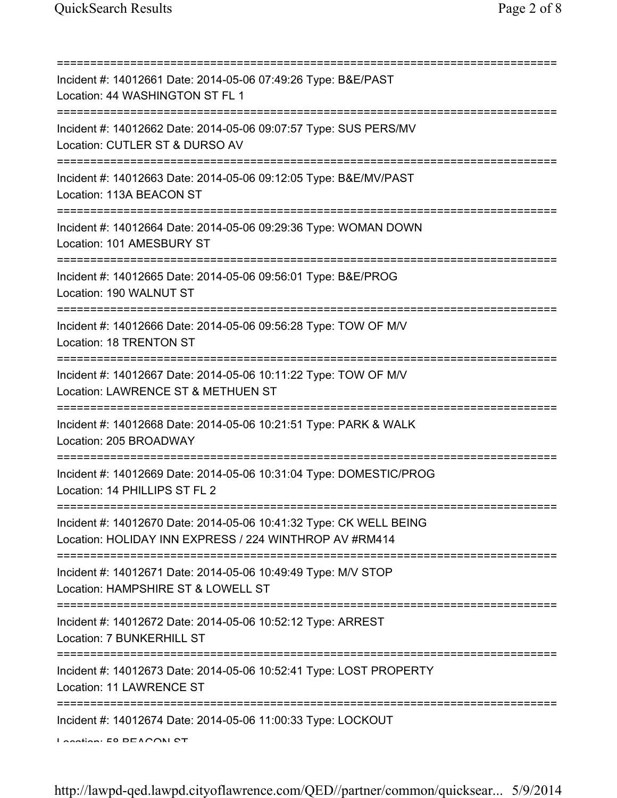| Incident #: 14012661 Date: 2014-05-06 07:49:26 Type: B&E/PAST<br>Location: 44 WASHINGTON ST FL 1                                     |
|--------------------------------------------------------------------------------------------------------------------------------------|
| Incident #: 14012662 Date: 2014-05-06 09:07:57 Type: SUS PERS/MV<br>Location: CUTLER ST & DURSO AV                                   |
| Incident #: 14012663 Date: 2014-05-06 09:12:05 Type: B&E/MV/PAST<br>Location: 113A BEACON ST                                         |
| Incident #: 14012664 Date: 2014-05-06 09:29:36 Type: WOMAN DOWN<br>Location: 101 AMESBURY ST                                         |
| Incident #: 14012665 Date: 2014-05-06 09:56:01 Type: B&E/PROG<br>Location: 190 WALNUT ST                                             |
| Incident #: 14012666 Date: 2014-05-06 09:56:28 Type: TOW OF M/V<br>Location: 18 TRENTON ST<br>====================================== |
| Incident #: 14012667 Date: 2014-05-06 10:11:22 Type: TOW OF M/V<br>Location: LAWRENCE ST & METHUEN ST                                |
| Incident #: 14012668 Date: 2014-05-06 10:21:51 Type: PARK & WALK<br>Location: 205 BROADWAY                                           |
| Incident #: 14012669 Date: 2014-05-06 10:31:04 Type: DOMESTIC/PROG<br>Location: 14 PHILLIPS ST FL 2                                  |
| Incident #: 14012670 Date: 2014-05-06 10:41:32 Type: CK WELL BEING<br>Location: HOLIDAY INN EXPRESS / 224 WINTHROP AV #RM414         |
| Incident #: 14012671 Date: 2014-05-06 10:49:49 Type: M/V STOP<br>Location: HAMPSHIRE ST & LOWELL ST                                  |
| Incident #: 14012672 Date: 2014-05-06 10:52:12 Type: ARREST<br>Location: 7 BUNKERHILL ST                                             |
| ===================<br>Incident #: 14012673 Date: 2014-05-06 10:52:41 Type: LOST PROPERTY<br>Location: 11 LAWRENCE ST                |
| Incident #: 14012674 Date: 2014-05-06 11:00:33 Type: LOCKOUT<br>Lootion. EQ DEACONI CT                                               |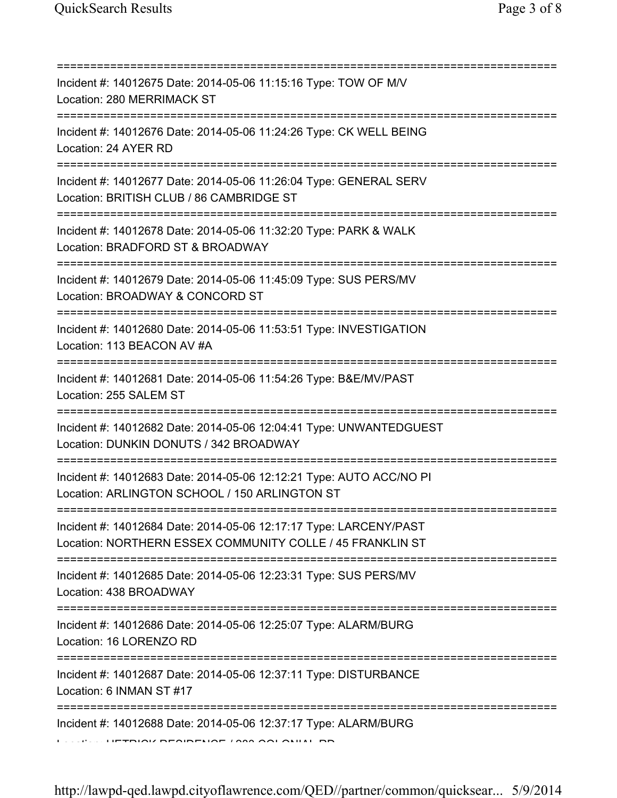| Incident #: 14012675 Date: 2014-05-06 11:15:16 Type: TOW OF M/V<br>Location: 280 MERRIMACK ST                                                |
|----------------------------------------------------------------------------------------------------------------------------------------------|
| Incident #: 14012676 Date: 2014-05-06 11:24:26 Type: CK WELL BEING<br>Location: 24 AYER RD                                                   |
| Incident #: 14012677 Date: 2014-05-06 11:26:04 Type: GENERAL SERV<br>Location: BRITISH CLUB / 86 CAMBRIDGE ST                                |
| Incident #: 14012678 Date: 2014-05-06 11:32:20 Type: PARK & WALK<br>Location: BRADFORD ST & BROADWAY<br>==================================== |
| Incident #: 14012679 Date: 2014-05-06 11:45:09 Type: SUS PERS/MV<br>Location: BROADWAY & CONCORD ST                                          |
| Incident #: 14012680 Date: 2014-05-06 11:53:51 Type: INVESTIGATION<br>Location: 113 BEACON AV #A<br>===================================      |
| Incident #: 14012681 Date: 2014-05-06 11:54:26 Type: B&E/MV/PAST<br>Location: 255 SALEM ST                                                   |
| Incident #: 14012682 Date: 2014-05-06 12:04:41 Type: UNWANTEDGUEST<br>Location: DUNKIN DONUTS / 342 BROADWAY                                 |
| Incident #: 14012683 Date: 2014-05-06 12:12:21 Type: AUTO ACC/NO PI<br>Location: ARLINGTON SCHOOL / 150 ARLINGTON ST                         |
| Incident #: 14012684 Date: 2014-05-06 12:17:17 Type: LARCENY/PAST<br>Location: NORTHERN ESSEX COMMUNITY COLLE / 45 FRANKLIN ST               |
| Incident #: 14012685 Date: 2014-05-06 12:23:31 Type: SUS PERS/MV<br>Location: 438 BROADWAY                                                   |
| Incident #: 14012686 Date: 2014-05-06 12:25:07 Type: ALARM/BURG<br>Location: 16 LORENZO RD                                                   |
| Incident #: 14012687 Date: 2014-05-06 12:37:11 Type: DISTURBANCE<br>Location: 6 INMAN ST #17                                                 |
|                                                                                                                                              |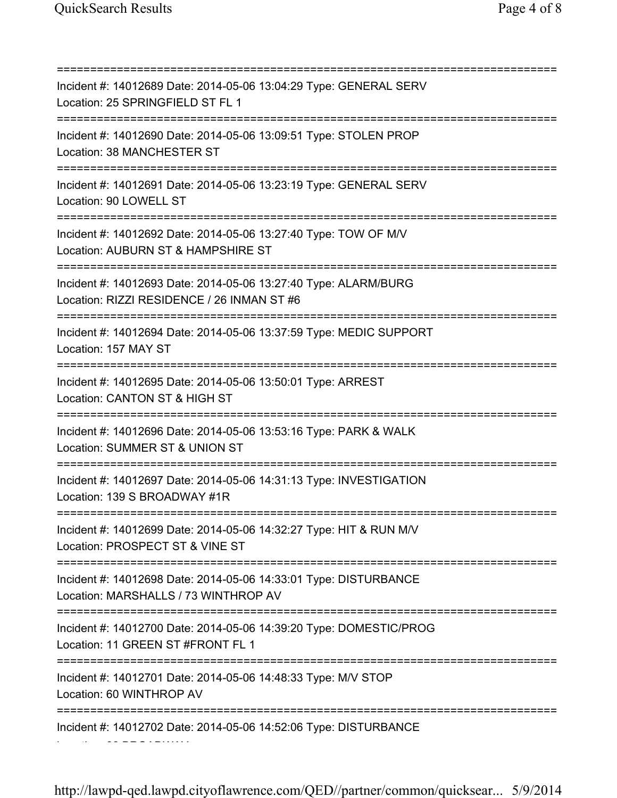=========================================================================== Incident #: 14012689 Date: 2014-05-06 13:04:29 Type: GENERAL SERV Location: 25 SPRINGFIELD ST FL 1 =========================================================================== Incident #: 14012690 Date: 2014-05-06 13:09:51 Type: STOLEN PROP Location: 38 MANCHESTER ST =========================================================================== Incident #: 14012691 Date: 2014-05-06 13:23:19 Type: GENERAL SERV Location: 90 LOWELL ST =========================================================================== Incident #: 14012692 Date: 2014-05-06 13:27:40 Type: TOW OF M/V Location: AUBURN ST & HAMPSHIRE ST =========================================================================== Incident #: 14012693 Date: 2014-05-06 13:27:40 Type: ALARM/BURG Location: RIZZI RESIDENCE / 26 INMAN ST #6 =========================================================================== Incident #: 14012694 Date: 2014-05-06 13:37:59 Type: MEDIC SUPPORT Location: 157 MAY ST =========================================================================== Incident #: 14012695 Date: 2014-05-06 13:50:01 Type: ARREST Location: CANTON ST & HIGH ST =========================================================================== Incident #: 14012696 Date: 2014-05-06 13:53:16 Type: PARK & WALK Location: SUMMER ST & UNION ST =========================================================================== Incident #: 14012697 Date: 2014-05-06 14:31:13 Type: INVESTIGATION Location: 139 S BROADWAY #1R =========================================================================== Incident #: 14012699 Date: 2014-05-06 14:32:27 Type: HIT & RUN M/V Location: PROSPECT ST & VINE ST =========================================================================== Incident #: 14012698 Date: 2014-05-06 14:33:01 Type: DISTURBANCE Location: MARSHALLS / 73 WINTHROP AV =========================================================================== Incident #: 14012700 Date: 2014-05-06 14:39:20 Type: DOMESTIC/PROG Location: 11 GREEN ST #FRONT FL 1 =========================================================================== Incident #: 14012701 Date: 2014-05-06 14:48:33 Type: M/V STOP Location: 60 WINTHROP AV =========================================================================== Incident #: 14012702 Date: 2014-05-06 14:52:06 Type: DISTURBANCE Location: 88 BROADWAY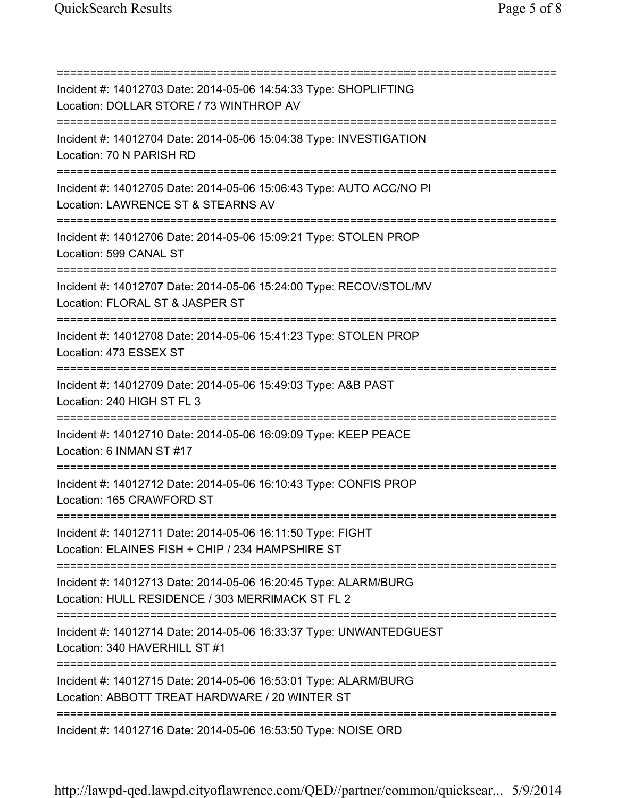=========================================================================== Incident #: 14012703 Date: 2014-05-06 14:54:33 Type: SHOPLIFTING Location: DOLLAR STORE / 73 WINTHROP AV =========================================================================== Incident #: 14012704 Date: 2014-05-06 15:04:38 Type: INVESTIGATION Location: 70 N PARISH RD =========================================================================== Incident #: 14012705 Date: 2014-05-06 15:06:43 Type: AUTO ACC/NO PI Location: LAWRENCE ST & STEARNS AV =========================================================================== Incident #: 14012706 Date: 2014-05-06 15:09:21 Type: STOLEN PROP Location: 599 CANAL ST =========================================================================== Incident #: 14012707 Date: 2014-05-06 15:24:00 Type: RECOV/STOL/MV Location: FLORAL ST & JASPER ST =========================================================================== Incident #: 14012708 Date: 2014-05-06 15:41:23 Type: STOLEN PROP Location: 473 ESSEX ST =========================================================================== Incident #: 14012709 Date: 2014-05-06 15:49:03 Type: A&B PAST Location: 240 HIGH ST FL 3 =========================================================================== Incident #: 14012710 Date: 2014-05-06 16:09:09 Type: KEEP PEACE Location: 6 INMAN ST #17 =========================================================================== Incident #: 14012712 Date: 2014-05-06 16:10:43 Type: CONFIS PROP Location: 165 CRAWFORD ST =========================================================================== Incident #: 14012711 Date: 2014-05-06 16:11:50 Type: FIGHT Location: ELAINES FISH + CHIP / 234 HAMPSHIRE ST =========================================================================== Incident #: 14012713 Date: 2014-05-06 16:20:45 Type: ALARM/BURG Location: HULL RESIDENCE / 303 MERRIMACK ST FL 2 =========================================================================== Incident #: 14012714 Date: 2014-05-06 16:33:37 Type: UNWANTEDGUEST Location: 340 HAVERHILL ST #1 =========================================================================== Incident #: 14012715 Date: 2014-05-06 16:53:01 Type: ALARM/BURG Location: ABBOTT TREAT HARDWARE / 20 WINTER ST =========================================================================== Incident #: 14012716 Date: 2014-05-06 16:53:50 Type: NOISE ORD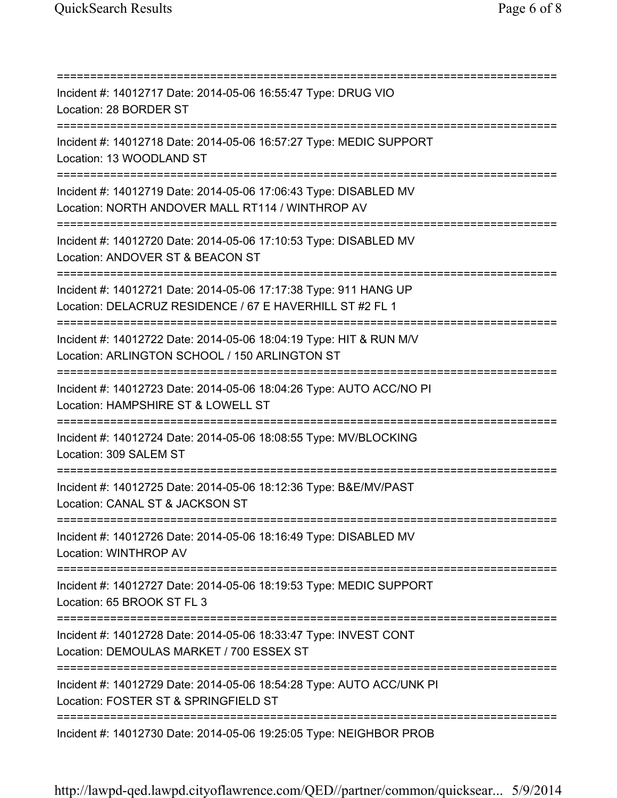=========================================================================== Incident #: 14012717 Date: 2014-05-06 16:55:47 Type: DRUG VIO Location: 28 BORDER ST =========================================================================== Incident #: 14012718 Date: 2014-05-06 16:57:27 Type: MEDIC SUPPORT Location: 13 WOODLAND ST =========================================================================== Incident #: 14012719 Date: 2014-05-06 17:06:43 Type: DISABLED MV Location: NORTH ANDOVER MALL RT114 / WINTHROP AV =========================================================================== Incident #: 14012720 Date: 2014-05-06 17:10:53 Type: DISABLED MV Location: ANDOVER ST & BEACON ST =========================================================================== Incident #: 14012721 Date: 2014-05-06 17:17:38 Type: 911 HANG UP Location: DELACRUZ RESIDENCE / 67 E HAVERHILL ST #2 FL 1 =========================================================================== Incident #: 14012722 Date: 2014-05-06 18:04:19 Type: HIT & RUN M/V Location: ARLINGTON SCHOOL / 150 ARLINGTON ST =========================================================================== Incident #: 14012723 Date: 2014-05-06 18:04:26 Type: AUTO ACC/NO PI Location: HAMPSHIRE ST & LOWELL ST =========================================================================== Incident #: 14012724 Date: 2014-05-06 18:08:55 Type: MV/BLOCKING Location: 309 SALEM ST =========================================================================== Incident #: 14012725 Date: 2014-05-06 18:12:36 Type: B&E/MV/PAST Location: CANAL ST & JACKSON ST =========================================================================== Incident #: 14012726 Date: 2014-05-06 18:16:49 Type: DISABLED MV Location: WINTHROP AV =========================================================================== Incident #: 14012727 Date: 2014-05-06 18:19:53 Type: MEDIC SUPPORT Location: 65 BROOK ST FL 3 =========================================================================== Incident #: 14012728 Date: 2014-05-06 18:33:47 Type: INVEST CONT Location: DEMOULAS MARKET / 700 ESSEX ST =========================================================================== Incident #: 14012729 Date: 2014-05-06 18:54:28 Type: AUTO ACC/UNK PI Location: FOSTER ST & SPRINGFIELD ST =========================================================================== Incident #: 14012730 Date: 2014-05-06 19:25:05 Type: NEIGHBOR PROB

http://lawpd-qed.lawpd.cityoflawrence.com/QED//partner/common/quicksear... 5/9/2014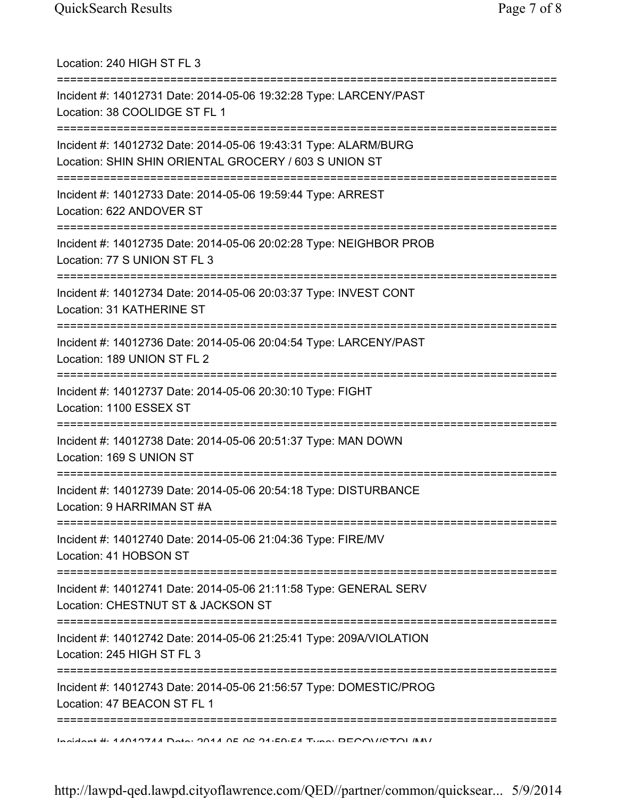| Location: 240 HIGH ST FL 3                                                                                                                 |
|--------------------------------------------------------------------------------------------------------------------------------------------|
| Incident #: 14012731 Date: 2014-05-06 19:32:28 Type: LARCENY/PAST<br>Location: 38 COOLIDGE ST FL 1                                         |
| Incident #: 14012732 Date: 2014-05-06 19:43:31 Type: ALARM/BURG<br>Location: SHIN SHIN ORIENTAL GROCERY / 603 S UNION ST                   |
| Incident #: 14012733 Date: 2014-05-06 19:59:44 Type: ARREST<br>Location: 622 ANDOVER ST<br>=====================================           |
| Incident #: 14012735 Date: 2014-05-06 20:02:28 Type: NEIGHBOR PROB<br>Location: 77 S UNION ST FL 3<br>==================================== |
| Incident #: 14012734 Date: 2014-05-06 20:03:37 Type: INVEST CONT<br>Location: 31 KATHERINE ST                                              |
| Incident #: 14012736 Date: 2014-05-06 20:04:54 Type: LARCENY/PAST<br>Location: 189 UNION ST FL 2                                           |
| Incident #: 14012737 Date: 2014-05-06 20:30:10 Type: FIGHT<br>Location: 1100 ESSEX ST                                                      |
| Incident #: 14012738 Date: 2014-05-06 20:51:37 Type: MAN DOWN<br>Location: 169 S UNION ST                                                  |
| Incident #: 14012739 Date: 2014-05-06 20:54:18 Type: DISTURBANCE<br>Location: 9 HARRIMAN ST #A                                             |
| Incident #: 14012740 Date: 2014-05-06 21:04:36 Type: FIRE/MV<br>Location: 41 HOBSON ST                                                     |
| Incident #: 14012741 Date: 2014-05-06 21:11:58 Type: GENERAL SERV<br>Location: CHESTNUT ST & JACKSON ST                                    |
| Incident #: 14012742 Date: 2014-05-06 21:25:41 Type: 209A/VIOLATION<br>Location: 245 HIGH ST FL 3                                          |
| ==============<br>Incident #: 14012743 Date: 2014-05-06 21:56:57 Type: DOMESTIC/PROG<br>Location: 47 BEACON ST FL 1                        |
| $\lambda$                                                                                                                                  |

http://lawpd-qed.lawpd.cityoflawrence.com/QED//partner/common/quicksear... 5/9/2014